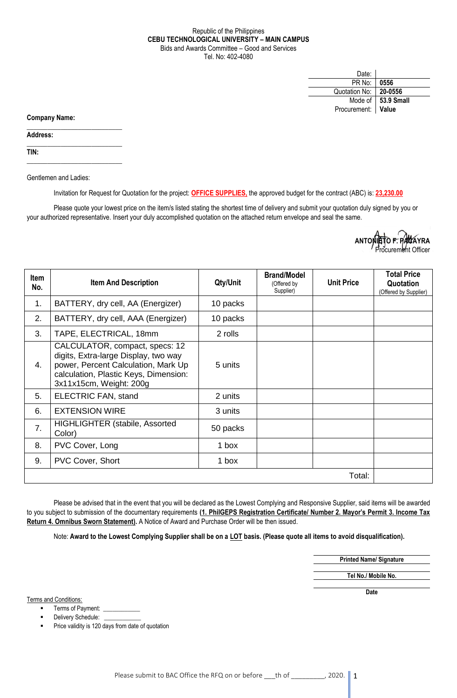## Republic of the Philippines **CEBU TECHNOLOGICAL UNIVERSITY – MAIN CAMPUS** Bids and Awards Committee – Good and Services Tel. No: 402-4080

| Date:         |                    |
|---------------|--------------------|
| PR No:        | 0556               |
| Quotation No: | 20-0556            |
| Mode of       | $\vert$ 53.9 Small |
| Procurement:  | Value              |

**Company Name:**

**Address:** 

**TIN:**

Gentlemen and Ladies:

 $\_$ 

 $\_$ 

\_\_\_\_\_\_\_\_\_\_\_\_\_\_\_\_\_\_\_\_\_\_\_\_\_\_\_\_

Invitation for Request for Quotation for the project: **OFFICE SUPPLIES,** the approved budget for the contract (ABC) is: **23,230.00**

Please quote your lowest price on the item/s listed stating the shortest time of delivery and submit your quotation duly signed by you or your authorized representative. Insert your duly accomplished quotation on the attached return envelope and seal the same.

> **ANTONIETO F. PACAYRA** curement Officer

| <b>Item</b><br>No. | <b>Item And Description</b>                                                                                                                                                       | Qty/Unit | <b>Brand/Model</b><br>(Offered by<br>Supplier) | <b>Unit Price</b> | <b>Total Price</b><br>Quotation<br>(Offered by Supplier) |
|--------------------|-----------------------------------------------------------------------------------------------------------------------------------------------------------------------------------|----------|------------------------------------------------|-------------------|----------------------------------------------------------|
| 1.                 | BATTERY, dry cell, AA (Energizer)                                                                                                                                                 | 10 packs |                                                |                   |                                                          |
| 2.                 | BATTERY, dry cell, AAA (Energizer)                                                                                                                                                | 10 packs |                                                |                   |                                                          |
| 3.                 | TAPE, ELECTRICAL, 18mm                                                                                                                                                            | 2 rolls  |                                                |                   |                                                          |
| 4.                 | CALCULATOR, compact, specs: 12<br>digits, Extra-large Display, two way<br>power, Percent Calculation, Mark Up<br>calculation, Plastic Keys, Dimension:<br>3x11x15cm, Weight: 200g | 5 units  |                                                |                   |                                                          |
| 5.                 | ELECTRIC FAN, stand                                                                                                                                                               | 2 units  |                                                |                   |                                                          |
| 6.                 | <b>EXTENSION WIRE</b>                                                                                                                                                             | 3 units  |                                                |                   |                                                          |
| 7.                 | <b>HIGHLIGHTER (stabile, Assorted</b><br>Color)                                                                                                                                   | 50 packs |                                                |                   |                                                          |
| 8.                 | PVC Cover, Long                                                                                                                                                                   | 1 box    |                                                |                   |                                                          |
| 9.                 | <b>PVC Cover, Short</b>                                                                                                                                                           | 1 box    |                                                |                   |                                                          |
| Total:             |                                                                                                                                                                                   |          |                                                |                   |                                                          |

Please be advised that in the event that you will be declared as the Lowest Complying and Responsive Supplier, said items will be awarded to you subject to submission of the documentary requirements **(1. PhilGEPS Registration Certificate/ Number 2. Mayor's Permit 3. Income Tax Return 4. Omnibus Sworn Statement).** A Notice of Award and Purchase Order will be then issued.

Note: **Award to the Lowest Complying Supplier shall be on a LOT basis. (Please quote all items to avoid disqualification).**

**Printed Name/ Signature Tel No./ Mobile No.**

**Date**

Terms and Conditions:

■ Terms of Payment:

Delivery Schedule:

Price validity is 120 days from date of quotation